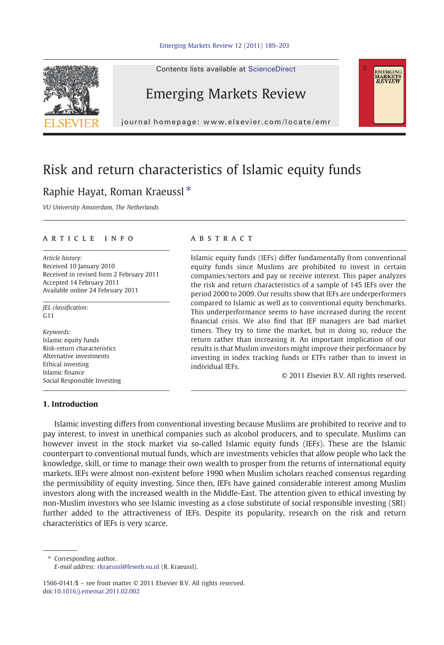



Contents lists available at ScienceDirect

## Emerging Markets Review

journal homepage: www.elsevier.com/locate/emr

## Risk and return characteristics of Islamic equity funds

## Raphie Hayat, Roman Kraeussl $*$

VU University Amsterdam, The Netherlands

### article info abstract

Article history: Received 10 January 2010 Received in revised form 2 February 2011 Accepted 14 February 2011 Available online 24 February 2011

JEL classification: G11

Keywords: Islamic equity funds Risk-return characteristics Alternative investments Ethical investing Islamic finance Social Responsible Investing

Islamic equity funds (IEFs) differ fundamentally from conventional equity funds since Muslims are prohibited to invest in certain companies/sectors and pay or receive interest. This paper analyzes the risk and return characteristics of a sample of 145 IEFs over the period 2000 to 2009. Our results show that IEFs are underperformers compared to Islamic as well as to conventional equity benchmarks. This underperformance seems to have increased during the recent financial crisis. We also find that IEF managers are bad market timers. They try to time the market, but in doing so, reduce the return rather than increasing it. An important implication of our results is that Muslim investors might improve their performance by investing in index tracking funds or ETFs rather than to invest in individual IEFs.

© 2011 Elsevier B.V. All rights reserved.

EMERGING<br>MARKETS<br>*REVIEW* 

### 1. Introduction

Islamic investing differs from conventional investing because Muslims are prohibited to receive and to pay interest, to invest in unethical companies such as alcohol producers, and to speculate. Muslims can however invest in the stock market via so-called Islamic equity funds (IEFs). These are the Islamic counterpart to conventional mutual funds, which are investments vehicles that allow people who lack the knowledge, skill, or time to manage their own wealth to prosper from the returns of international equity markets. IEFs were almost non-existent before 1990 when Muslim scholars reached consensus regarding the permissibility of equity investing. Since then, IEFs have gained considerable interest among Muslim investors along with the increased wealth in the Middle-East. The attention given to ethical investing by non-Muslim investors who see Islamic investing as a close substitute of social responsible investing (SRI) further added to the attractiveness of IEFs. Despite its popularity, research on the risk and return characteristics of IEFs is very scarce.

⁎ Corresponding author. E-mail address: [rkraeussl@feweb.vu.nl](mailto:rkraeussl@feweb.vu.nl) (R. Kraeussl).

1566-0141/\$ – see front matter © 2011 Elsevier B.V. All rights reserved. doi:[10.1016/j.ememar.2011.02.002](http://dx.doi.org/10.1016/j.ememar.2011.02.002)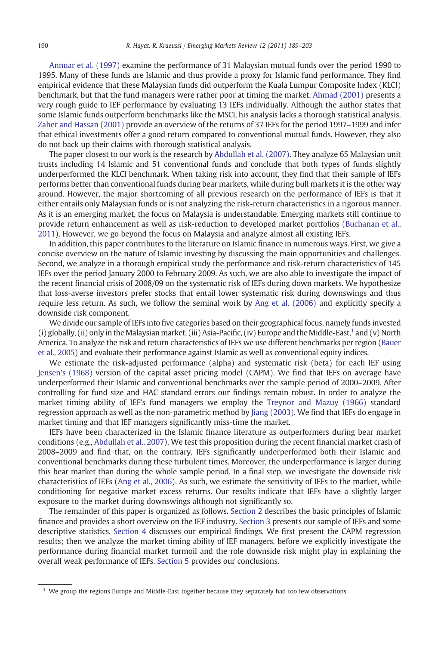[Annuar et al. \(1997\)](#page--1-0) examine the performance of 31 Malaysian mutual funds over the period 1990 to 1995. Many of these funds are Islamic and thus provide a proxy for Islamic fund performance. They find empirical evidence that these Malaysian funds did outperform the Kuala Lumpur Composite Index (KLCI) benchmark, but that the fund managers were rather poor at timing the market. [Ahmad \(2001\)](#page--1-0) presents a very rough guide to IEF performance by evaluating 13 IEFs individually. Although the author states that some Islamic funds outperform benchmarks like the MSCI, his analysis lacks a thorough statistical analysis. [Zaher and Hassan \(2001\)](#page--1-0) provide an overview of the returns of 37 IEFs for the period 1997–1999 and infer that ethical investments offer a good return compared to conventional mutual funds. However, they also do not back up their claims with thorough statistical analysis.

The paper closest to our work is the research by [Abdullah et al. \(2007\)](#page--1-0). They analyze 65 Malaysian unit trusts including 14 Islamic and 51 conventional funds and conclude that both types of funds slightly underperformed the KLCI benchmark. When taking risk into account, they find that their sample of IEFs performs better than conventional funds during bear markets, while during bull markets it is the other way around. However, the major shortcoming of all previous research on the performance of IEFs is that it either entails only Malaysian funds or is not analyzing the risk-return characteristics in a rigorous manner. As it is an emerging market, the focus on Malaysia is understandable. Emerging markets still continue to provide return enhancement as well as risk-reduction to developed market portfolios [\(Buchanan et al.,](#page--1-0) [2011](#page--1-0)). However, we go beyond the focus on Malaysia and analyze almost all existing IEFs.

In addition, this paper contributes to the literature on Islamic finance in numerous ways. First, we give a concise overview on the nature of Islamic investing by discussing the main opportunities and challenges. Second, we analyze in a thorough empirical study the performance and risk-return characteristics of 145 IEFs over the period January 2000 to February 2009. As such, we are also able to investigate the impact of the recent financial crisis of 2008/09 on the systematic risk of IEFs during down markets. We hypothesize that loss-averse investors prefer stocks that entail lower systematic risk during downswings and thus require less return. As such, we follow the seminal work by [Ang et al. \(2006\)](#page--1-0) and explicitly specify a downside risk component.

We divide our sample of IEFs into five categories based on their geographical focus, namely funds invested (i) globally, (ii) only in the Malaysian market, (iii) Asia-Pacific, (iv) Europe and the Middle-East,<sup>1</sup> and (v) North America. To analyze the risk and return characteristics of IEFs we use different benchmarks per region [\(Bauer](#page--1-0) [et al., 2005\)](#page--1-0) and evaluate their performance against Islamic as well as conventional equity indices.

We estimate the risk-adjusted performance (alpha) and systematic risk (beta) for each IEF using [Jensen's \(1968\)](#page--1-0) version of the capital asset pricing model (CAPM). We find that IEFs on average have underperformed their Islamic and conventional benchmarks over the sample period of 2000–2009. After controlling for fund size and HAC standard errors our findings remain robust. In order to analyze the market timing ability of IEF's fund managers we employ the [Treynor and Mazuy \(1966\)](#page--1-0) standard regression approach as well as the non-parametric method by [Jiang \(2003\).](#page--1-0) We find that IEFs do engage in market timing and that IEF managers significantly miss-time the market.

IEFs have been characterized in the Islamic finance literature as outperformers during bear market conditions (e.g., [Abdullah et al., 2007](#page--1-0)). We test this proposition during the recent financial market crash of 2008–2009 and find that, on the contrary, IEFs significantly underperformed both their Islamic and conventional benchmarks during these turbulent times. Moreover, the underperformance is larger during this bear market than during the whole sample period. In a final step, we investigate the downside risk characteristics of IEFs [\(Ang et al., 2006](#page--1-0)). As such, we estimate the sensitivity of IEFs to the market, while conditioning for negative market excess returns. Our results indicate that IEFs have a slightly larger exposure to the market during downswings although not significantly so.

The remainder of this paper is organized as follows. [Section 2](#page--1-0) describes the basic principles of Islamic finance and provides a short overview on the IEF industry. [Section 3](#page--1-0) presents our sample of IEFs and some descriptive statistics. [Section 4](#page--1-0) discusses our empirical findings. We first present the CAPM regression results; then we analyze the market timing ability of IEF managers, before we explicitly investigate the performance during financial market turmoil and the role downside risk might play in explaining the overall weak performance of IEFs. [Section 5](#page--1-0) provides our conclusions.

<sup>&</sup>lt;sup>1</sup> We group the regions Europe and Middle-East together because they separately had too few observations.